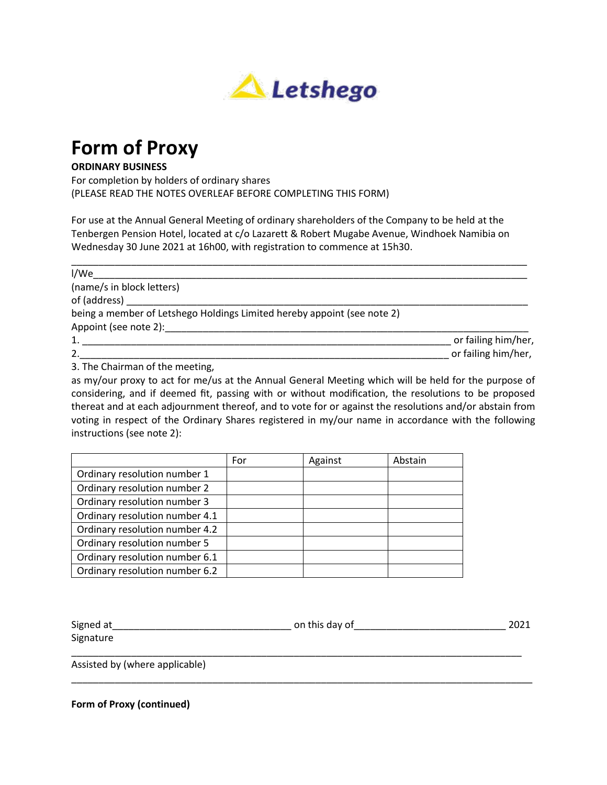

## **Form of Proxy**

## **ORDINARY BUSINESS**

For completion by holders of ordinary shares (PLEASE READ THE NOTES OVERLEAF BEFORE COMPLETING THIS FORM)

For use at the Annual General Meeting of ordinary shareholders of the Company to be held at the Tenbergen Pension Hotel, located at c/o Lazarett & Robert Mugabe Avenue, Windhoek Namibia on Wednesday 30 June 2021 at 16h00, with registration to commence at 15h30.

| I/We                                                                    |                     |
|-------------------------------------------------------------------------|---------------------|
| (name/s in block letters)                                               |                     |
| of (address) ____                                                       |                     |
| being a member of Letshego Holdings Limited hereby appoint (see note 2) |                     |
| Appoint (see note 2):                                                   |                     |
| 1.                                                                      | or failing him/her, |
| 2.                                                                      | or failing him/her, |
| $\sim$ $\sim$ $\sim$<br>$\sim$ $\sim$ $\sim$ $\sim$                     |                     |

3. The Chairman of the meeting,

as my/our proxy to act for me/us at the Annual General Meeting which will be held for the purpose of considering, and if deemed fit, passing with or without modification, the resolutions to be proposed thereat and at each adjournment thereof, and to vote for or against the resolutions and/or abstain from voting in respect of the Ordinary Shares registered in my/our name in accordance with the following instructions (see note 2):

|                                | For | Against | Abstain |
|--------------------------------|-----|---------|---------|
| Ordinary resolution number 1   |     |         |         |
| Ordinary resolution number 2   |     |         |         |
| Ordinary resolution number 3   |     |         |         |
| Ordinary resolution number 4.1 |     |         |         |
| Ordinary resolution number 4.2 |     |         |         |
| Ordinary resolution number 5   |     |         |         |
| Ordinary resolution number 6.1 |     |         |         |
| Ordinary resolution number 6.2 |     |         |         |

| Signed at | on this day of | 2021 |
|-----------|----------------|------|
| Signature |                |      |
|           |                |      |

\_\_\_\_\_\_\_\_\_\_\_\_\_\_\_\_\_\_\_\_\_\_\_\_\_\_\_\_\_\_\_\_\_\_\_\_\_\_\_\_\_\_\_\_\_\_\_\_\_\_\_\_\_\_\_\_\_\_\_\_\_\_\_\_\_\_\_\_\_\_\_\_\_\_\_\_\_\_\_\_\_\_\_\_\_

Assisted by (where applicable)

**Form of Proxy (continued)**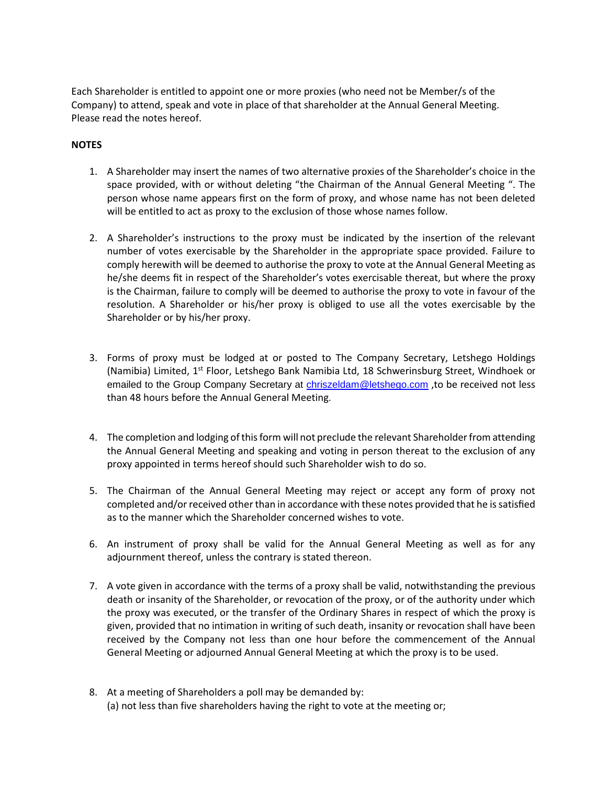Each Shareholder is entitled to appoint one or more proxies (who need not be Member/s of the Company) to attend, speak and vote in place of that shareholder at the Annual General Meeting. Please read the notes hereof.

## **NOTES**

- 1. A Shareholder may insert the names of two alternative proxies of the Shareholder's choice in the space provided, with or without deleting "the Chairman of the Annual General Meeting ". The person whose name appears first on the form of proxy, and whose name has not been deleted will be entitled to act as proxy to the exclusion of those whose names follow.
- 2. A Shareholder's instructions to the proxy must be indicated by the insertion of the relevant number of votes exercisable by the Shareholder in the appropriate space provided. Failure to comply herewith will be deemed to authorise the proxy to vote at the Annual General Meeting as he/she deems fit in respect of the Shareholder's votes exercisable thereat, but where the proxy is the Chairman, failure to comply will be deemed to authorise the proxy to vote in favour of the resolution. A Shareholder or his/her proxy is obliged to use all the votes exercisable by the Shareholder or by his/her proxy.
- 3. Forms of proxy must be lodged at or posted to The Company Secretary, Letshego Holdings (Namibia) Limited, 1<sup>st</sup> Floor, Letshego Bank Namibia Ltd, 18 Schwerinsburg Street, Windhoek or emailed to the Group Company Secretary at *chriszeldam@letshego.com*, to be received not less than 48 hours before the Annual General Meeting.
- 4. The completion and lodging of this form will not preclude the relevant Shareholder from attending the Annual General Meeting and speaking and voting in person thereat to the exclusion of any proxy appointed in terms hereof should such Shareholder wish to do so.
- 5. The Chairman of the Annual General Meeting may reject or accept any form of proxy not completed and/or received other than in accordance with these notes provided that he is satisfied as to the manner which the Shareholder concerned wishes to vote.
- 6. An instrument of proxy shall be valid for the Annual General Meeting as well as for any adjournment thereof, unless the contrary is stated thereon.
- 7. A vote given in accordance with the terms of a proxy shall be valid, notwithstanding the previous death or insanity of the Shareholder, or revocation of the proxy, or of the authority under which the proxy was executed, or the transfer of the Ordinary Shares in respect of which the proxy is given, provided that no intimation in writing of such death, insanity or revocation shall have been received by the Company not less than one hour before the commencement of the Annual General Meeting or adjourned Annual General Meeting at which the proxy is to be used.
- 8. At a meeting of Shareholders a poll may be demanded by: (a) not less than five shareholders having the right to vote at the meeting or;